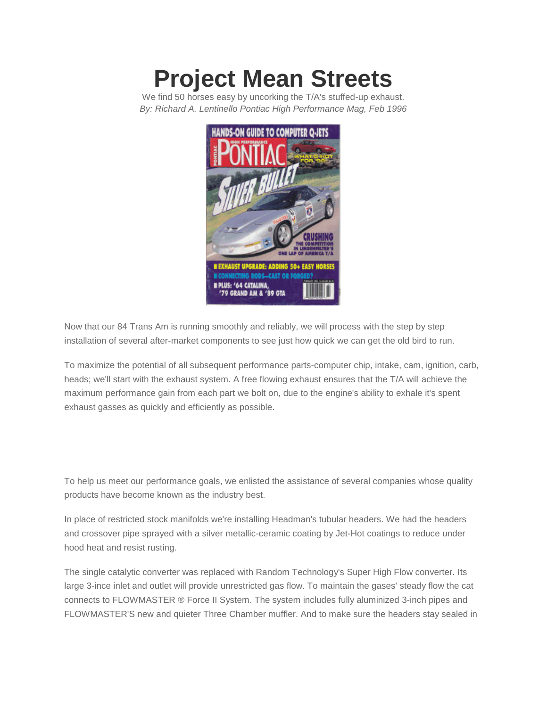## **[Project](http://www.mufflex-performance.com/about-mufflex/mufflex-performance/magazine-articles/103-exhaust-shocks-repainted-roof) Mean Streets**

We find 50 horses easy by uncorking the T/A's stuffed-up exhaust. *By: Richard A. Lentinello Pontiac High Performance Mag, Feb 1996*



Now that our 84 Trans Am is running smoothly and reliably, we will process with the step by step installation of several after-market components to see just how quick we can get the old bird to run.

To maximize the potential of all subsequent performance parts-computer chip, intake, cam, ignition, carb, heads; we'll start with the exhaust system. A free flowing exhaust ensures that the T/A will achieve the maximum performance gain from each part we bolt on, due to the engine's ability to exhale it's spent exhaust gasses as quickly and efficiently as possible.

To help us meet our performance goals, we enlisted the assistance of several companies whose quality products have become known as the industry best.

In place of restricted stock manifolds we're installing Headman's tubular headers. We had the headers and crossover pipe sprayed with a silver metallic-ceramic coating by Jet-Hot coatings to reduce under hood heat and resist rusting.

The single catalytic converter was replaced with Random Technology's Super High Flow converter. Its large 3-ince inlet and outlet will provide unrestricted gas flow. To maintain the gases' steady flow the cat connects to FLOWMASTER ® Force II System. The system includes fully aluminized 3-inch pipes and FLOWMASTER'S new and quieter Three Chamber muffler. And to make sure the headers stay sealed in